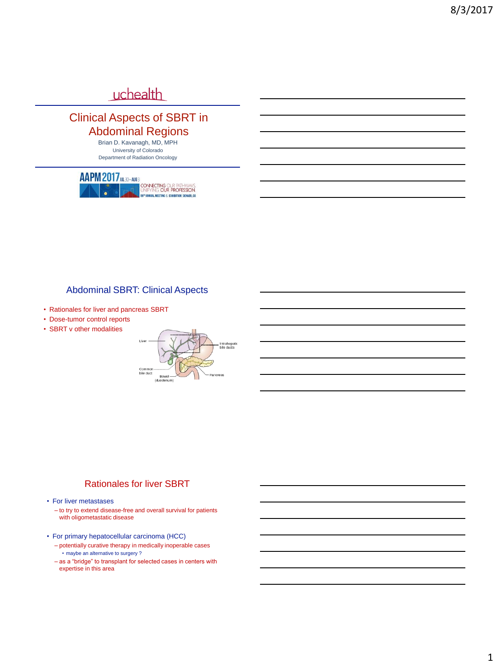# uchealth

## Clinical Aspects of SBRT in Abdominal Regions

Brian D. Kavanagh, MD, MPH University of Colorado Department of Radiation Oncology



## Abdominal SBRT: Clinical Aspects

- Rationales for liver and pancreas SBRT
- Dose-tumor control reports
- SBRT v other modalities



#### Rationales for liver SBRT

- For liver metastases
	- to try to extend disease-free and overall survival for patients with oligometastatic disease
- For primary hepatocellular carcinoma (HCC)
	- potentially curative therapy in medically inoperable cases • maybe an alternative to surgery ?
	- as a "bridge" to transplant for selected cases in centers with expertise in this area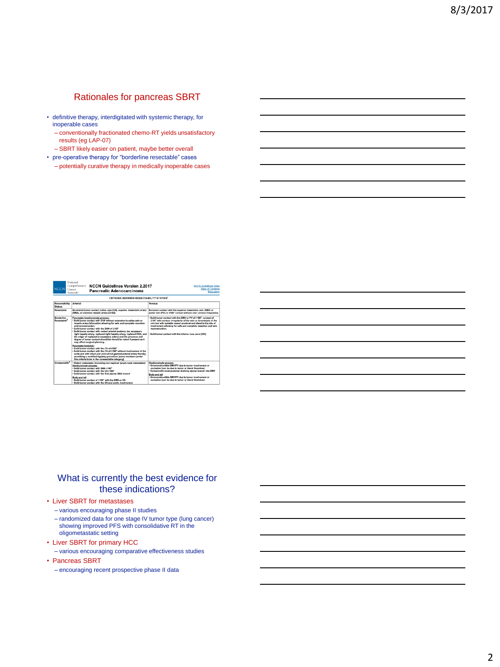## Rationales for pancreas SBRT

- definitive therapy, interdigitated with systemic therapy, for inoperable cases
	- conventionally fractionated chemo-RT yields unsatisfactory results (eg LAP-07)
	- SBRT likely easier on patient, maybe better overall
- pre-operative therapy for "borderline resectable" cases – potentially curative therapy in medically inoperable cases

| <b>NCCN</b>                                  | Comprehensive<br>Cancer<br>Network <sup>*</sup> | <b>NCCN Guidelines Version 2.2017</b><br><b>Pancreatic Adenocarcinoma</b>                                                                                                                                                                                                                                                                                                                                                                                                                                                                                  | <b>NCCN Guidelines Index</b><br><b>Table of Contents</b><br>Discussion                                                                                                                                                                                                                                                                                |
|----------------------------------------------|-------------------------------------------------|------------------------------------------------------------------------------------------------------------------------------------------------------------------------------------------------------------------------------------------------------------------------------------------------------------------------------------------------------------------------------------------------------------------------------------------------------------------------------------------------------------------------------------------------------------|-------------------------------------------------------------------------------------------------------------------------------------------------------------------------------------------------------------------------------------------------------------------------------------------------------------------------------------------------------|
|                                              |                                                 | CRITERIA DEFINING RESECTABILITY STATUS <sup>1</sup>                                                                                                                                                                                                                                                                                                                                                                                                                                                                                                        |                                                                                                                                                                                                                                                                                                                                                       |
| <b>Resectability</b><br>Status               | <b>Arterial</b>                                 |                                                                                                                                                                                                                                                                                                                                                                                                                                                                                                                                                            | Venous                                                                                                                                                                                                                                                                                                                                                |
| <b>Besectable</b>                            |                                                 | No arterial tumor contact (celiac axis (CA), superior mesenteric artery<br>[SMA], or common hepatic artery (CHA)].                                                                                                                                                                                                                                                                                                                                                                                                                                         | No tumor contact with the superior mesenteric vein (SMV) or<br>portal vein (PV) or £180° contact without vein contour irregularity.                                                                                                                                                                                                                   |
| <b>Borderline</b><br>Resectable <sup>2</sup> | and reconstruction.                             | Pancreatic headluncinate process:<br>. Solid tumor contact with CHA without extension to cellac axis or<br>hepatic artery bifurcation allowing for safe and complete resection<br>. Solid tumor contact with the SMA of \$180°<br>. Solid tumor contact with variant arterial anatomy (ex: accessory<br>right hepatic artery, replaced right hepatic artery, replaced CHA, and<br>the origin of replaced or accessory artery) and the presence and<br>degree of tumor contact should be should be noted if present as it.<br>may affect surgical planning. | . Solid tumor contact with the SMV or PV of >180°, contact of<br>£180" with contour irregularity of the vein or thrombosis of the<br>vein but with suitable vessel proximal and distal to the site of<br>involvement allowing for safe and complete resection and vein<br>reconstruction.<br>. Solid tumor contact with the inferior vena cava (IVC). |
|                                              | Pancreatic body/tail:                           | . Solid tumor contact with the CA of \$180°<br>- Solid tumor contact with the CA of >180° without involvement of the<br>sorts and with intact and uninvolved gastroduodenal artery thereby<br>permitting a modified Appleby procedure [some members prefer<br>this criteria to be in the unresectable category).                                                                                                                                                                                                                                           |                                                                                                                                                                                                                                                                                                                                                       |
| <b>Unconnectable<sup>2</sup></b>             | Headfuncinate process:<br><b>Body and tail</b>  | - Distant metastasis (including non-regional lymph node metastasis)<br>· Solid tumor contact with SMA >180°<br>- Solid tumor contact with the CA >180*<br>- Solid tumor contact with the first jejunal SMA branch<br>. Solid tumor contact of >180° with the SMA or CA<br>. Solid tumor contact with the CA and aortic involvement                                                                                                                                                                                                                         | Head/unclnate process<br>· Unreconstructible SMV/PV due to tumor involvement or<br>occlusion (can be due to tumor or bland thrombus)<br>. Contact with most proximal draining jejunal branch into SMV<br><b>Body and tail</b><br>· Unreconstructible SMV/PV due to tumor involvement or<br>occlusion (can be due to tumor or bland thrombus)          |

#### What is currently the best evidence for these indications?

#### • Liver SBRT for metastases

- various encouraging phase II studies
- randomized data for one stage IV tumor type (lung cancer) showing improved PFS with consolidative RT in the oligometastatic setting
- Liver SBRT for primary HCC – various encouraging comparative effectiveness studies
- Pancreas SBRT

National

– encouraging recent prospective phase II data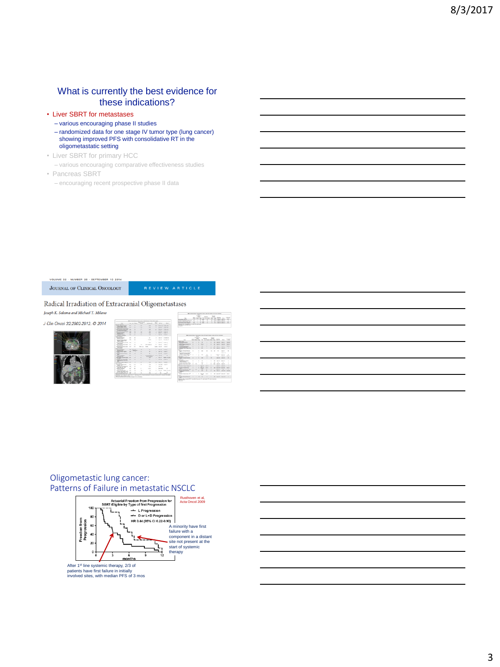### What is currently the best evidence for these indications?

- Liver SBRT for metastases
	- various encouraging phase II studies
	- randomized data for one stage IV tumor type (lung cancer) showing improved PFS with consolidative RT in the oligometastatic setting
- Liver SBRT for primary HCC
	- various encouraging comparative effectiveness studies
- Pancreas SBRT
	- encouraging recent prospective phase II data

.<br>UME 32 - NUMBER 26 - SEPTEMBER 10 2014 JOURNAL OF CLINICAL ONCOLOGY

#### Radical Irradiation of Extracranial Oligometastases

Joseph K. Salama and Michael T. Milano J Clin Oncol 32:2902-2912. @ 2014



| ÷      |                                     |                                    | Monday in at adults 10 property in anti-sale.<br>Control and the Debt and                                    |        |                      |              |                        |                                                                                                         |                |             |                              |                               |                          |
|--------|-------------------------------------|------------------------------------|--------------------------------------------------------------------------------------------------------------|--------|----------------------|--------------|------------------------|---------------------------------------------------------------------------------------------------------|----------------|-------------|------------------------------|-------------------------------|--------------------------|
| $\sim$ |                                     | TANK R.D. TANK RID                 | <b>College Cold</b>                                                                                          |        |                      |              |                        |                                                                                                         |                |             |                              |                               |                          |
| ÷      |                                     | lower def Chinese dell             |                                                                                                              |        |                      |              |                        |                                                                                                         |                |             |                              |                               |                          |
| $\sim$ | <b>Colorado</b>                     | <b>CONTRACTOR</b>                  |                                                                                                              |        |                      |              |                        |                                                                                                         |                |             |                              |                               |                          |
| ۰<br>٠ | <b>CALL IS</b><br><b>CONTRACTOR</b> | <b>CARD IN</b><br><b>Colorador</b> |                                                                                                              |        |                      |              |                        |                                                                                                         |                |             |                              |                               |                          |
| ٠      | <b>COLOR</b>                        | $-0.000$                           |                                                                                                              |        |                      |              |                        | <b>186</b> A Government and a military process in Palace, 1990 South Allance, Toyota a Minimum Assesses |                |             |                              |                               |                          |
|        |                                     |                                    |                                                                                                              |        | =<br><b>Sales of</b> |              |                        |                                                                                                         | <b>Section</b> |             |                              |                               |                          |
|        |                                     | come that the company of           |                                                                                                              |        | ╺                    |              |                        | <b>State Corp.</b>                                                                                      | m              |             |                              |                               |                          |
| ٠      | and the                             | <b>Service</b> of                  | <b>State</b>                                                                                                 |        | <b>College State</b> |              | ÷                      | in allowing their firms. Controller                                                                     |                |             |                              | <b>Harry</b>                  | w                        |
|        | w                                   |                                    | Colombia service<br>data power/lates                                                                         | ۰      | ٠                    | ×.           | ٠                      | ٠                                                                                                       | ÷              |             | <b>CALL COMMERCIAL</b>       | <b>STATE</b>                  | <b>State of</b>          |
| ٠      | <b>CALL AN</b>                      | <b>The County</b>                  | w                                                                                                            |        | ٠                    |              |                        |                                                                                                         |                |             |                              |                               |                          |
| ٠      | $-0.5$                              | $-$                                | <b><i>Statistical Readers</i></b> Part<br><b>Service</b>                                                     | ٠      |                      | $\mathbf{u}$ | <b>STAR</b>            | ٠                                                                                                       | $\mathbf{r}$   | $\sim$      | <b>County</b> Inc.           | <b>Target</b>                 | Total 1                  |
|        | <b>Select Count Bd</b>              | <b>CONTRACTOR</b>                  | <b>Management and Care</b><br>THE STATE OF                                                                   | ٠      | ٠                    | ×.           | <b>START</b>           | $\sim$                                                                                                  | ٠              | $\sim$      | <b>CARD OF</b>               | <b>CALL OF</b>                | <b>Selection</b>         |
|        |                                     |                                    | their bear lists licens them.                                                                                | ٠      | ٠                    | $\mathbf{r}$ | $\sim$                 | ٠                                                                                                       | ٠              | $\cdots$    | <b>County Of</b>             | <b>Target M</b>               | ٠                        |
| ۰      | <b>College Ave</b>                  | <b>Long Ave</b>                    | <b>MAG</b><br><b><i>Charles of Sellers</i></b> Reducer                                                       | ×      |                      | м            | <b>SHEET</b>           | $\sim$                                                                                                  | $\sim$         | <b>SALE</b> | $\sim$                       | <b>Local Inc.</b>             | ×                        |
| ٠      | <b>Carl Sale</b>                    | <b>CALL OF</b>                     | ÷                                                                                                            |        |                      |              |                        |                                                                                                         |                |             |                              |                               |                          |
| ٠      | <b>TANK OF</b>                      | $-2.5$                             | <b>Colorado Market Transferred Market</b><br>Service in Advisor                                              |        |                      | ×.           |                        |                                                                                                         |                |             |                              | <b>CARD OF</b>                |                          |
|        | <b>COLLEGE</b>                      | $\sim$                             | <b>Department Corporation Corporation</b><br>for the company of the con-                                     | ×      | ٠                    | м<br>н       | <b>Seller</b>          | <b>SE</b><br>÷                                                                                          | ×<br>٠         |             | <b>Council Council</b><br>٠  | <b>Carried Cold</b>           | ×<br>to all a            |
|        |                                     |                                    | <b>SHOW:</b>                                                                                                 |        |                      |              |                        |                                                                                                         |                |             |                              |                               |                          |
| ×      | Total AV                            | <b>SAN START</b>                   | Linkin / News Avenue<br>÷                                                                                    | ٠      | ٠                    | $\mathbf{r}$ | <b>STATE</b>           | ٠                                                                                                       | ٠              |             |                              | <b>CARD IN 1 EXHIBIT</b>      | ٠                        |
| ۰      | THE R.                              | <b>Inquiries</b>                   | <b>South Corp.</b><br>Laboratory and Contractor                                                              | ×      | ٠                    | ×            | $\sim$                 | $\alpha$                                                                                                | ×              | $\sim$      | <b>Contract Contract Co.</b> |                               | $\alpha$                 |
| -      |                                     |                                    | <b>MACHINE</b>                                                                                               | $\sim$ | $\sim$               | ٠            | <b>STATE</b>           | $\sim$                                                                                                  | $\sim$         | -           | $\sim$                       | $\sim$                        |                          |
|        | $-$                                 | <b>Select B</b>                    | <b><i>STAKER-FORM THE TAX<sup>44</sup></i></b><br><b>Tradition Terry Truck Sale</b>                          | ×      | $\mathbf{u}$         |              | ×                      | $\alpha$                                                                                                | ×              | <b>SALE</b> | Total M                      | <b>Lease At</b>               | $\sim$<br>$\mathbb{R}^2$ |
| ٠      | <b>COLLEGE</b>                      | The party of the                   | ___<br>Lower of Step Clean 177                                                                               | ٠      | ٠                    | $\mathbf{u}$ | <b>Side and</b>        | <b>Carl St</b>                                                                                          | ٠              |             | <b>Carried Cold</b>          | <b>Carry May</b>              | ٠                        |
| ٠      | $-$                                 |                                    |                                                                                                              |        |                      |              | ٠                      |                                                                                                         |                |             |                              |                               |                          |
| ۰.     | <b>Search Ave</b>                   | The control                        | <b><i>Charles Millered Artist</i></b><br>٠                                                                   | ٠      | ٠                    | $\mathbf{u}$ | <b>Silver</b><br>×     | <b>START</b>                                                                                            | $\overline{a}$ |             | and company and company and  |                               | <b>START</b>             |
| $\sim$ | $-1$                                | ۰.<br><b>State Street</b>          | between those throws form<br><b>Carloss confident for the con-</b>                                           | ٠<br>٠ | ٠                    | 18           | ≖<br><b>STATE</b>      | $\sim$<br>$\mathbf{r}$                                                                                  | ٠<br>٠         |             | <b>Contractor</b>            | $\sim$<br>THE GREAT CARD PART | ÷<br><b>SHEET</b>        |
|        |                                     |                                    | ⋍                                                                                                            |        |                      |              |                        |                                                                                                         |                |             |                              |                               |                          |
| ٠<br>٠ | ÷<br>٠                              | ٠<br>$-1$                          | <b>Selection</b><br><b>Colombia and Colombia Allegear School</b>                                             | ×      | ٠                    | $\sim$       | <b>COLOR</b><br>$\sim$ | <b>CONTRACTOR</b>                                                                                       | ×              |             |                              | an expect of compact that a   |                          |
|        |                                     | chains all promotes again          | <b>SERVICE</b><br>Traumer Photograph Mushama<br>÷                                                            | ٠      | ٠                    | 1.91         | ٠                      | ٠                                                                                                       | ٠              |             |                              | <b>SECTION 12 FAMILY</b>      | ٠                        |
|        |                                     |                                    | Newton K.a. spins K.C. or exhall opinion 12, and unto 17, and all accou-<br><b>SERVICE</b><br><b>Advised</b> |        |                      |              |                        |                                                                                                         |                |             |                              |                               |                          |

**BETTERT** 

#### Oligometastic lung cancer: Patterns of Failure in metastatic NSCLC



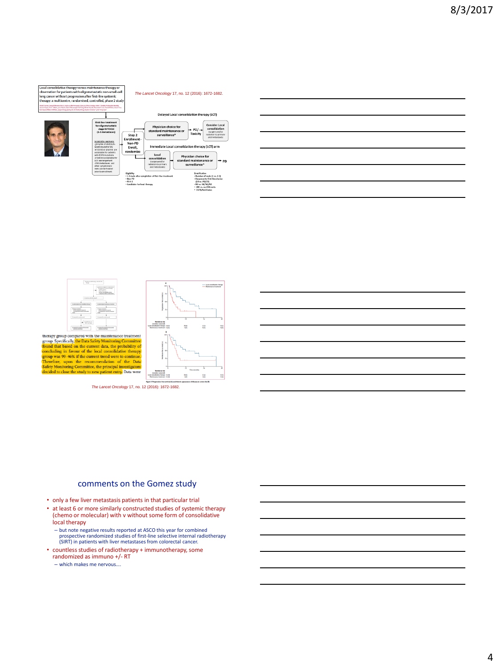

#### *The Lancet Oncology* 17, no. 12 (2016): 1672-1682.



| of Libridianswith                                                                                                                                                                                                                                                           |                                                                     | Delayed Local consolidation therapy (LCT)                                                                                               |                                                                                 |                                                                                                            |           |
|-----------------------------------------------------------------------------------------------------------------------------------------------------------------------------------------------------------------------------------------------------------------------------|---------------------------------------------------------------------|-----------------------------------------------------------------------------------------------------------------------------------------|---------------------------------------------------------------------------------|------------------------------------------------------------------------------------------------------------|-----------|
| <b>First-line treatment</b><br>for oligometastatic<br>stage IV NSCLC<br>(1-3 metastases)                                                                                                                                                                                    | Step 2                                                              | Physician choice for<br>standard maintenance or<br>surveillance*                                                                        | $+$ PD/ $+$<br>Toxicity                                                         | <b>Consider Local</b><br>consolidation<br><b>Countery and/or</b><br>radiation to primary<br>and metastased |           |
| Acceptable regimens:<br>->4 exclus of platinum-<br>based doublet+/-RV<br>eriotinibler afatiniblare<br>acceptable for patients<br>with FIVR motations.<br>-cripotinib acceptable for<br>ALE rearrangement<br>-CNS metastases and<br>other symptomatic<br>mets can be treated | Enrollment-<br>Non-PD<br>Enroll.<br>randomize                       | Immediate Local consolidation therapy (LCT) arm<br>Local<br>consolidation<br>fsureervand/or<br>radiation to primary.<br>and metestases) | Physician choice for<br>standard maintenance or<br>surveillance*                |                                                                                                            | <b>PD</b> |
| prior to enrollment                                                                                                                                                                                                                                                         | FileInline<br>* Non-PO<br>$+050.2$<br>. Candidate for local therapy | . 1.3 mets after completion of first-line treatment                                                                                     | Stratification<br>(SD vs. PR/CR)<br>- NO yr., N1/N2/N3<br>- COTTA CARDIOLEANING | · Number of mets (1 ys. 2-3)<br>- Response to first-line chemo-<br>+ CMS us, no CMS made                   |           |

| <u> 1989 - Johann Stoff, amerikansk politiker (d. 1989)</u>                                                            |  |  |
|------------------------------------------------------------------------------------------------------------------------|--|--|
|                                                                                                                        |  |  |
| <u> 1989 - Johann Barn, mars ann an t-Amhain ann an t-Amhain ann an t-Amhain ann an t-Amhain an t-Amhain ann an t-</u> |  |  |
| <u> 1989 - Johann Stoff, deutscher Stoff, der Stoff, der Stoff, der Stoff, der Stoff, der Stoff, der Stoff, der S</u>  |  |  |
| <u> 1989 - Johann Stoff, deutscher Stoff, der Stoff, der Stoff, der Stoff, der Stoff, der Stoff, der Stoff, der S</u>  |  |  |
|                                                                                                                        |  |  |





*The Lancet Oncology* 17, no. 12 (2016): 1672-1682.

#### comments on the Gomez study

- only a few liver metastasis patients in that particular trial
- at least 6 or more similarly constructed studies of systemic therapy (chemo or molecular) with v without some form of consolidative local therapy
	- but note negative results reported at ASCO this year for combined prospective randomized studies of first-line selective internal radiotherapy (SIRT) in patients with liver metastases from colorectal cancer.
- countless studies of radiotherapy + immunotherapy, some randomized as immuno +/- RT
- which makes me nervous….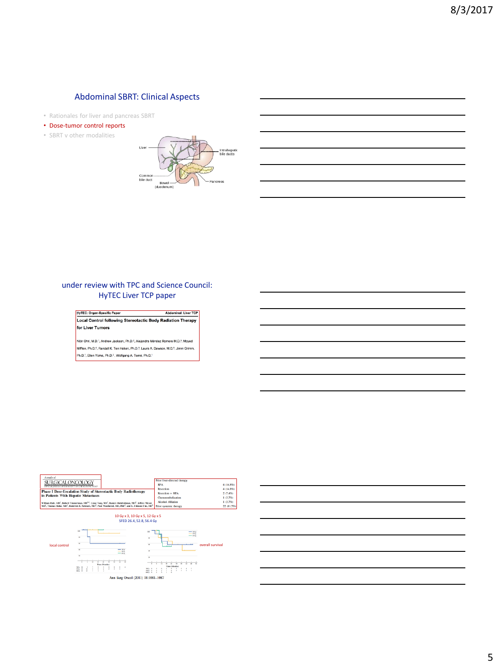#### Abdominal SBRT: Clinical Aspects

- Rationales for liver and pancreas SBRT
- Dose-tumor control reports
- SBRT v other modalities



#### under review with TPC and Science Council: HyTEC Liver TCP paper

**HyTEC: Organ-Specific Paper** Abdominal: Liver TCP Local Control following Stereotactic Body Radiation Therapy for Liver Tumors

Nitin Ohri, M.D.<sup>1</sup>, Andrew Jackson, Ph.D.<sup>2</sup>, Alejandra Méndez Romero M.D.<sup>3</sup>, Moyed Mifften, Ph.D.ª, Randall K. Ten Haken, Ph.D.ª, Laura A. Dawson, M.D.ª, Jimm Grimm,<br>Ph.D.<sup>7</sup>, Ellen Yorke, Ph.D.<sup>2</sup>., Wolfgang A. Tomé, Ph.D.<sup>1</sup>

| Annals of<br>SURGICAL ONCOLOGY<br>OFFICIAL KNIDNAL OF THE SOCIETY OF SUBSICAL ONE OLOGY                                                                              | Prior liver-directed therapy<br><b>RFA</b><br>Resection | $4(14.8\%)$<br>$4(14.8\%)$ |
|----------------------------------------------------------------------------------------------------------------------------------------------------------------------|---------------------------------------------------------|----------------------------|
| <b>Phase I Dose-Escalation Study of Stereotactic Body Radiotherapy</b>                                                                                               | Resection + RFA                                         | 2(7.4%)                    |
| in Patients With Hepatic Metastases                                                                                                                                  | Chemoembolization                                       | 1(3.7%)                    |
| William Rule, MD <sup>1</sup> , Robert Timmerman, MD <sup>16</sup> , Livue Tong, MS <sup>2</sup> , Ramzi Abdulruhman, MD <sup>1</sup> , Jeffrey Meyer,               | <b>Alcohol Ablation</b>                                 | 1(3.7%)                    |
| MD <sup>3</sup> . Thomas Boike, MD <sup>3</sup> , Roderich E. Schwarz, MD <sup>3</sup> , Paul Weatherall, MD, PhD <sup>4</sup> , and L, Chinsoo Cho, MD <sup>3</sup> | Prior systemic therapy                                  | 22 (81.5%)                 |



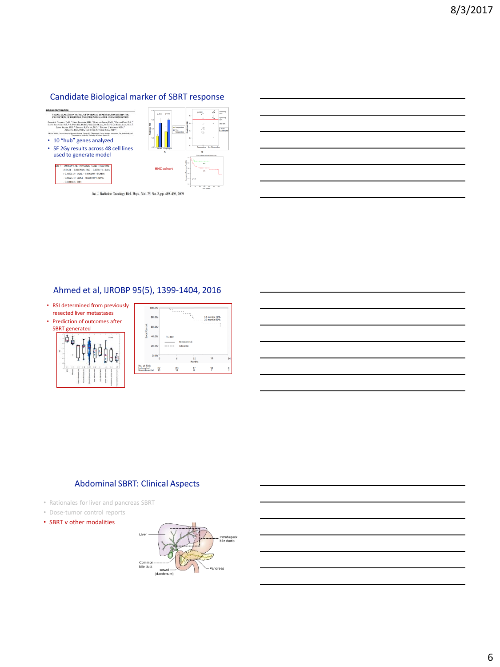## Candidate Biological marker of SBRT response





Int. J. Radiation Oncology Biol. Phys., Vol. 75, No. 2, pp. 489-496, 2009



#### Ahmed et al, IJROBP 95(5), 1399-1404, 2016







#### Abdominal SBRT: Clinical Aspects

- Rationales for liver and pancreas SBRT
- Dose-tumor control reports
- SBRT v other modalities

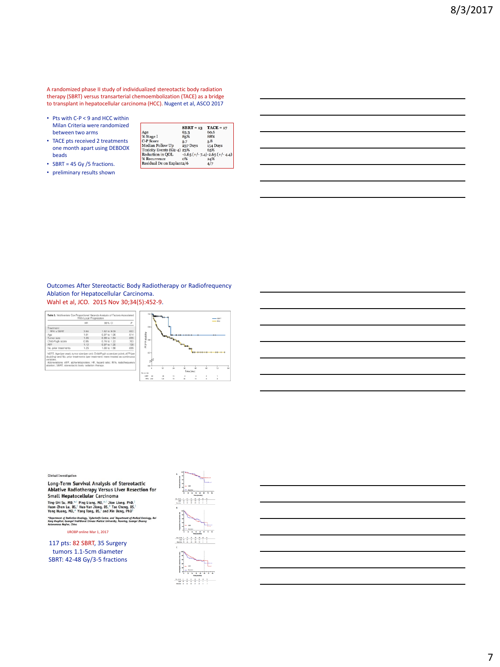A randomized phase II study of individualized stereotactic body radiation therapy (SBRT) versus transarterial chemoembolization (TACE) as a bridge to transplant in hepatocellular carcinoma (HCC). Nugent et al, ASCO 2017

- Pts with C-P < 9 and HCC within Milan Criteria were randomized between two arms
- TACE pts received 2 treatments one month apart using DEBDOX beads

|  | • SBRT = 45 Gy /5 fractions. |  |  |
|--|------------------------------|--|--|
|--|------------------------------|--|--|

• preliminary results shown

|                            | $SBRT = 13$ | $TACE = 17$                    |
|----------------------------|-------------|--------------------------------|
| Age                        | 63.3        | 60.6                           |
| % Stage I                  | 85%         | 88%                            |
| C-P Score                  | 5.7         | 5.8                            |
| Median Follow Up           | 237 Days    | 154 Days                       |
| Toxicity Events (G2-4) 23% |             | 65%                            |
| Reduction in OOL           |             | $-0.65$ (+/-7.4)-2.65 (+/-4.4) |
| % Recurrence               | 0%          | 24%                            |
| Residual Dz on Explant2/6  |             | 4/7                            |

Outcomes After Stereotactic Body Radiotherapy or Radiofrequency Ablation for Hepatocellular Carcinoma. Wahl et al, JCO. 2015 Nov 30;34(5):452-9.

|                      | HR   | 95% CI       | P    |
|----------------------|------|--------------|------|
| Treatment            |      |              |      |
| <b>REA v SRRT</b>    | 384  | 1.62 to 9.09 | .002 |
| Age                  | 1.01 | 0.97 to 1.06 | 514  |
| Tumor size           | 1.35 | 0.99 to 1.84 | 055  |
| Child-Pugh score     | 0.95 | 0.74 to 1.22 | .703 |
| AFP                  | 1.12 | 0.97 to 1.30 | .130 |
| No. prior treatments | 1.25 | 1.00 to 1.58 | .055 |





Long-Term Survival Analysis of Stereotactic Ablative Radiotherapy Versus Liver Resection for Small Hepatocellular Carcinoma Sing-Shi Su, MD,<sup>2</sup>-1 Ping Liang, MD,<sup>6-1</sup> Jian Liang, PhD,<sup>1</sup><br>Ting-Shi Su, MD,<sup>2-1</sup> Ping Liang, MD,<sup>6-1</sup> Jian Liang, PhD,<sup>1</sup><br>Huan-Zhen Lu, BS,<sup>1</sup> Hua-Yan Jiang, BS,<sup>2</sup> Tao Cheng, BS,<sup>1</sup><br>Yong Huang, MD,<sup>6</sup> Yang Tang, BS,<sup>1</sup>

\*Department of Radiation Onaviagy, <sup>1</sup>Cyberknife Center, and <sup>1</sup>Department of Medical Oncol<br>Kang Hospital, Guangel Traditional Chinese Medical University, Namning, Guangel Zhuang<br>Autunomous Region, China

IJROBP online Mar 1, 2017

117 pts: 82 SBRT, 35 Surgery tumors 1.1-5cm diameter SBRT: 42-48 Gy/3-5 fractions